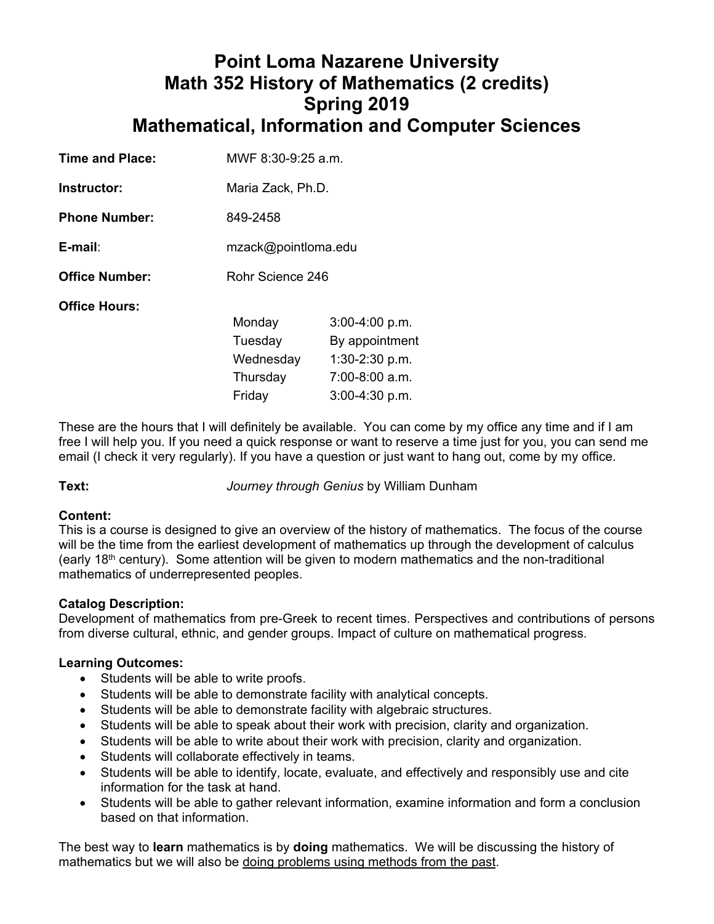# **Point Loma Nazarene University Math 352 History of Mathematics (2 credits) Spring 2019 Mathematical, Information and Computer Sciences**

| Time and Place:       | MWF 8:30-9:25 a.m. |                     |  |  |
|-----------------------|--------------------|---------------------|--|--|
| Instructor:           |                    | Maria Zack, Ph.D.   |  |  |
| <b>Phone Number:</b>  | 849-2458           |                     |  |  |
| $E$ -mail:            |                    | mzack@pointloma.edu |  |  |
| <b>Office Number:</b> |                    | Rohr Science 246    |  |  |
| <b>Office Hours:</b>  |                    |                     |  |  |
|                       | Monday             | $3:00-4:00 p.m.$    |  |  |
|                       | Tuesday            | By appointment      |  |  |
|                       | Wednesday          | $1:30-2:30$ p.m.    |  |  |
|                       | Thursday           | $7:00-8:00$ a.m.    |  |  |
|                       | Friday             | $3:00-4:30$ p.m.    |  |  |

These are the hours that I will definitely be available. You can come by my office any time and if I am free I will help you. If you need a quick response or want to reserve a time just for you, you can send me email (I check it very regularly). If you have a question or just want to hang out, come by my office.

**Text:** *Journey through Genius* by William Dunham

# **Content:**

This is a course is designed to give an overview of the history of mathematics. The focus of the course will be the time from the earliest development of mathematics up through the development of calculus (early 18<sup>th</sup> century). Some attention will be given to modern mathematics and the non-traditional mathematics of underrepresented peoples.

# **Catalog Description:**

Development of mathematics from pre-Greek to recent times. Perspectives and contributions of persons from diverse cultural, ethnic, and gender groups. Impact of culture on mathematical progress.

# **Learning Outcomes:**

- Students will be able to write proofs.
- Students will be able to demonstrate facility with analytical concepts.
- Students will be able to demonstrate facility with algebraic structures.
- Students will be able to speak about their work with precision, clarity and organization.
- Students will be able to write about their work with precision, clarity and organization.
- Students will collaborate effectively in teams.
- Students will be able to identify, locate, evaluate, and effectively and responsibly use and cite information for the task at hand.
- Students will be able to gather relevant information, examine information and form a conclusion based on that information.

The best way to **learn** mathematics is by **doing** mathematics.We will be discussing the history of mathematics but we will also be doing problems using methods from the past.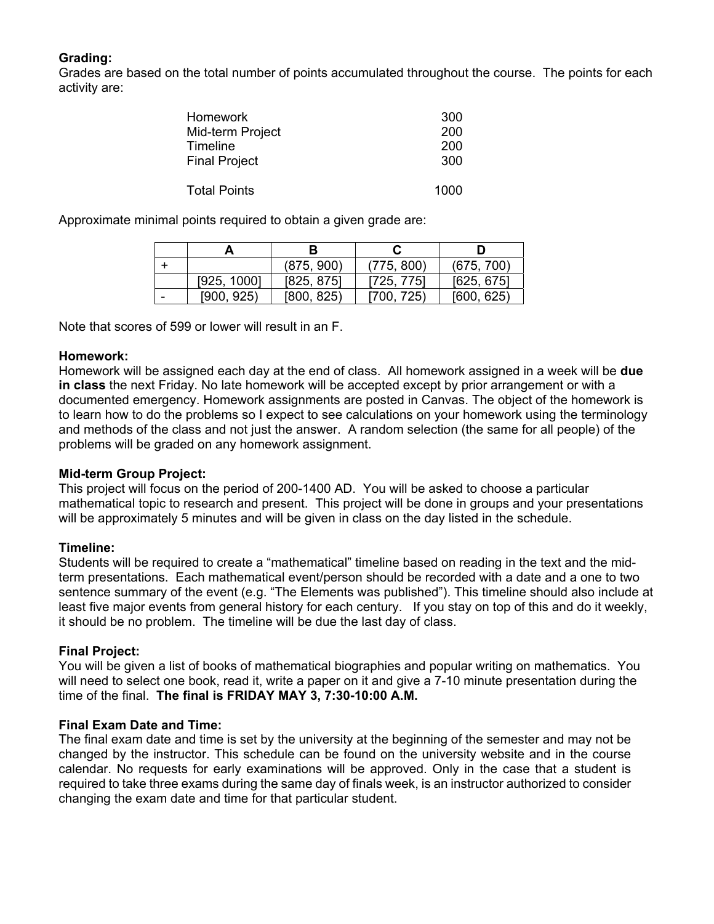# **Grading:**

Grades are based on the total number of points accumulated throughout the course. The points for each activity are:

| <b>Homework</b>      | 300  |
|----------------------|------|
| Mid-term Project     | 200  |
| Timeline             | 200  |
| <b>Final Project</b> | 300  |
| <b>Total Points</b>  | 1000 |

Approximate minimal points required to obtain a given grade are:

|   |             | В          |            |            |
|---|-------------|------------|------------|------------|
|   |             | (875, 900) | (775, 800) | (675, 700) |
|   | [925, 1000] | [825, 875] | [725, 775] | [625, 675] |
| - | [900, 925]  | [800, 825] | [700, 725) | [600, 625] |

Note that scores of 599 or lower will result in an F.

## **Homework:**

Homework will be assigned each day at the end of class. All homework assigned in a week will be **due in class** the next Friday. No late homework will be accepted except by prior arrangement or with a documented emergency. Homework assignments are posted in Canvas. The object of the homework is to learn how to do the problems so I expect to see calculations on your homework using the terminology and methods of the class and not just the answer. A random selection (the same for all people) of the problems will be graded on any homework assignment.

## **Mid-term Group Project:**

This project will focus on the period of 200-1400 AD. You will be asked to choose a particular mathematical topic to research and present. This project will be done in groups and your presentations will be approximately 5 minutes and will be given in class on the day listed in the schedule.

# **Timeline:**

Students will be required to create a "mathematical" timeline based on reading in the text and the midterm presentations. Each mathematical event/person should be recorded with a date and a one to two sentence summary of the event (e.g. "The Elements was published"). This timeline should also include at least five major events from general history for each century. If you stay on top of this and do it weekly, it should be no problem. The timeline will be due the last day of class.

# **Final Project:**

You will be given a list of books of mathematical biographies and popular writing on mathematics. You will need to select one book, read it, write a paper on it and give a 7-10 minute presentation during the time of the final. **The final is FRIDAY MAY 3, 7:30-10:00 A.M.** 

## **Final Exam Date and Time:**

The final exam date and time is set by the university at the beginning of the semester and may not be changed by the instructor. This schedule can be found on the university website and in the course calendar. No requests for early examinations will be approved. Only in the case that a student is required to take three exams during the same day of finals week, is an instructor authorized to consider changing the exam date and time for that particular student.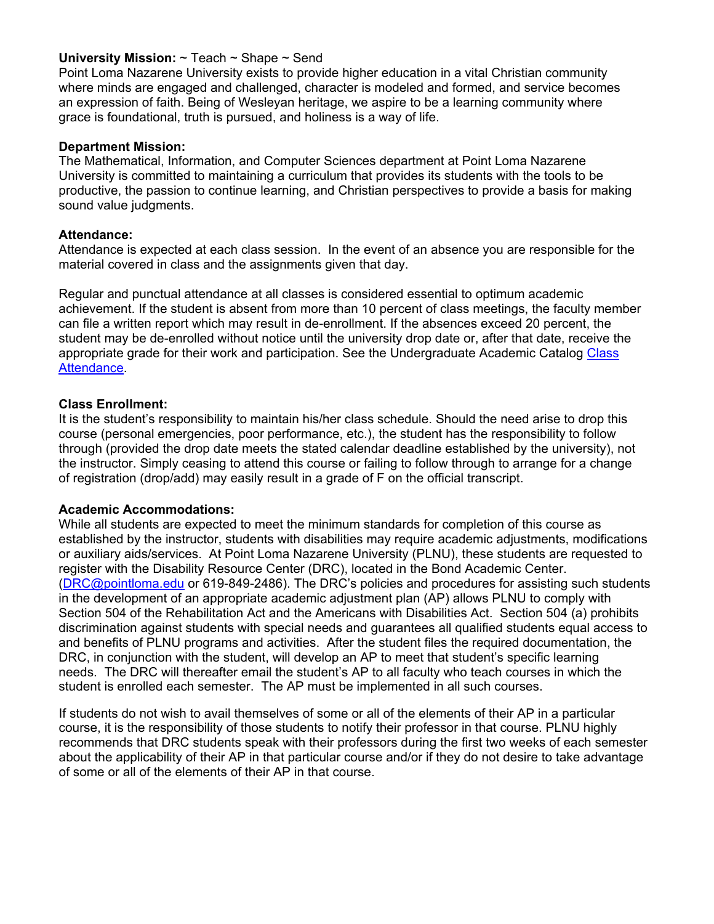## **University Mission:** ~ Teach ~ Shape ~ Send

Point Loma Nazarene University exists to provide higher education in a vital Christian community where minds are engaged and challenged, character is modeled and formed, and service becomes an expression of faith. Being of Wesleyan heritage, we aspire to be a learning community where grace is foundational, truth is pursued, and holiness is a way of life.

## **Department Mission:**

The Mathematical, Information, and Computer Sciences department at Point Loma Nazarene University is committed to maintaining a curriculum that provides its students with the tools to be productive, the passion to continue learning, and Christian perspectives to provide a basis for making sound value judgments.

#### **Attendance:**

Attendance is expected at each class session. In the event of an absence you are responsible for the material covered in class and the assignments given that day.

Regular and punctual attendance at all classes is considered essential to optimum academic achievement. If the student is absent from more than 10 percent of class meetings, the faculty member can file a written report which may result in de-enrollment. If the absences exceed 20 percent, the student may be de-enrolled without notice until the university drop date or, after that date, receive the appropriate grade for their work and participation. See the Undergraduate Academic Catalog Class Attendance.

#### **Class Enrollment:**

It is the student's responsibility to maintain his/her class schedule. Should the need arise to drop this course (personal emergencies, poor performance, etc.), the student has the responsibility to follow through (provided the drop date meets the stated calendar deadline established by the university), not the instructor. Simply ceasing to attend this course or failing to follow through to arrange for a change of registration (drop/add) may easily result in a grade of F on the official transcript.

#### **Academic Accommodations:**

While all students are expected to meet the minimum standards for completion of this course as established by the instructor, students with disabilities may require academic adjustments, modifications or auxiliary aids/services. At Point Loma Nazarene University (PLNU), these students are requested to register with the Disability Resource Center (DRC), located in the Bond Academic Center. (DRC@pointloma.edu or 619-849-2486). The DRC's policies and procedures for assisting such students in the development of an appropriate academic adjustment plan (AP) allows PLNU to comply with Section 504 of the Rehabilitation Act and the Americans with Disabilities Act. Section 504 (a) prohibits discrimination against students with special needs and guarantees all qualified students equal access to and benefits of PLNU programs and activities. After the student files the required documentation, the DRC, in conjunction with the student, will develop an AP to meet that student's specific learning needs. The DRC will thereafter email the student's AP to all faculty who teach courses in which the student is enrolled each semester. The AP must be implemented in all such courses.

If students do not wish to avail themselves of some or all of the elements of their AP in a particular course, it is the responsibility of those students to notify their professor in that course. PLNU highly recommends that DRC students speak with their professors during the first two weeks of each semester about the applicability of their AP in that particular course and/or if they do not desire to take advantage of some or all of the elements of their AP in that course.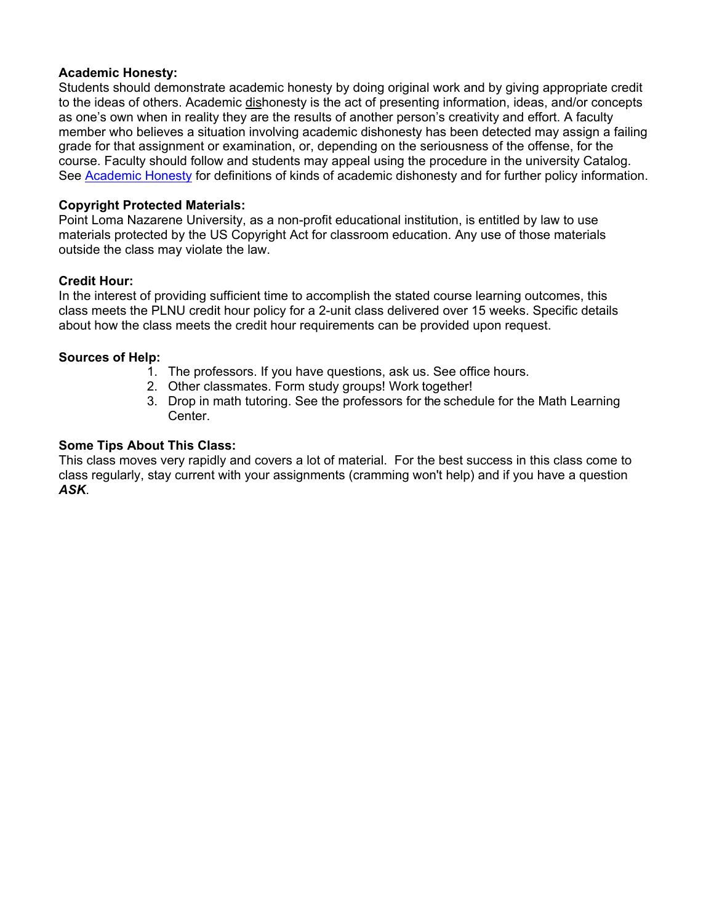## **Academic Honesty:**

Students should demonstrate academic honesty by doing original work and by giving appropriate credit to the ideas of others. Academic dishonesty is the act of presenting information, ideas, and/or concepts as one's own when in reality they are the results of another person's creativity and effort. A faculty member who believes a situation involving academic dishonesty has been detected may assign a failing grade for that assignment or examination, or, depending on the seriousness of the offense, for the course. Faculty should follow and students may appeal using the procedure in the university Catalog. See Academic Honesty for definitions of kinds of academic dishonesty and for further policy information.

## **Copyright Protected Materials:**

Point Loma Nazarene University, as a non-profit educational institution, is entitled by law to use materials protected by the US Copyright Act for classroom education. Any use of those materials outside the class may violate the law.

## **Credit Hour:**

In the interest of providing sufficient time to accomplish the stated course learning outcomes, this class meets the PLNU credit hour policy for a 2-unit class delivered over 15 weeks. Specific details about how the class meets the credit hour requirements can be provided upon request.

## **Sources of Help:**

- 1. The professors. If you have questions, ask us. See office hours.
- 2. Other classmates. Form study groups! Work together!
- 3. Drop in math tutoring. See the professors for the schedule for the Math Learning Center.

## **Some Tips About This Class:**

This class moves very rapidly and covers a lot of material. For the best success in this class come to class regularly, stay current with your assignments (cramming won't help) and if you have a question *ASK*.